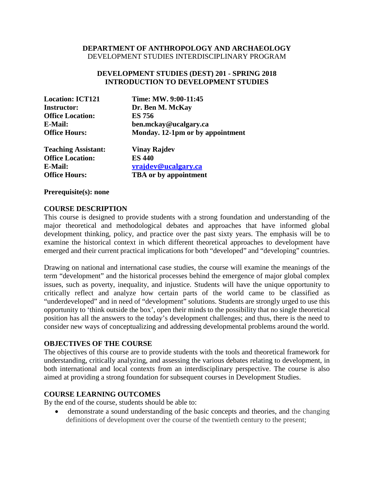#### **DEPARTMENT OF ANTHROPOLOGY AND ARCHAEOLOGY** DEVELOPMENT STUDIES INTERDISCIPLINARY PROGRAM

#### **DEVELOPMENT STUDIES (DEST) 201 - SPRING 2018 INTRODUCTION TO DEVELOPMENT STUDIES**

| <b>Location: ICT121</b> | Time: MW. 9:00-11:45             |
|-------------------------|----------------------------------|
| <b>Instructor:</b>      | Dr. Ben M. McKay                 |
| <b>Office Location:</b> | <b>ES 756</b>                    |
| <b>E-Mail:</b>          | ben.mckay@ucalgary.ca            |
| <b>Office Hours:</b>    | Monday. 12-1pm or by appointment |
| Teaching Accictant•     | Vinav Raidev                     |

| <b>Teaching Assistant:</b> | <b>Vinay Rajdev</b>          |
|----------------------------|------------------------------|
| <b>Office Location:</b>    | <b>ES 440</b>                |
| <b>E-Mail:</b>             | <u>vrajdev@ucalgary.ca</u>   |
| <b>Office Hours:</b>       | <b>TBA</b> or by appointment |

**Prerequisite(s): none**

#### **COURSE DESCRIPTION**

This course is designed to provide students with a strong foundation and understanding of the major theoretical and methodological debates and approaches that have informed global development thinking, policy, and practice over the past sixty years. The emphasis will be to examine the historical context in which different theoretical approaches to development have emerged and their current practical implications for both "developed" and "developing" countries.

Drawing on national and international case studies, the course will examine the meanings of the term "development" and the historical processes behind the emergence of major global complex issues, such as poverty, inequality, and injustice. Students will have the unique opportunity to critically reflect and analyze how certain parts of the world came to be classified as "underdeveloped" and in need of "development" solutions. Students are strongly urged to use this opportunity to 'think outside the box', open their minds to the possibility that no single theoretical position has all the answers to the today's development challenges; and thus, there is the need to consider new ways of conceptualizing and addressing developmental problems around the world.

#### **OBJECTIVES OF THE COURSE**

The objectives of this course are to provide students with the tools and theoretical framework for understanding, critically analyzing, and assessing the various debates relating to development, in both international and local contexts from an interdisciplinary perspective. The course is also aimed at providing a strong foundation for subsequent courses in Development Studies.

#### **COURSE LEARNING OUTCOMES**

By the end of the course, students should be able to:

• demonstrate a sound understanding of the basic concepts and theories, and the changing definitions of development over the course of the twentieth century to the present;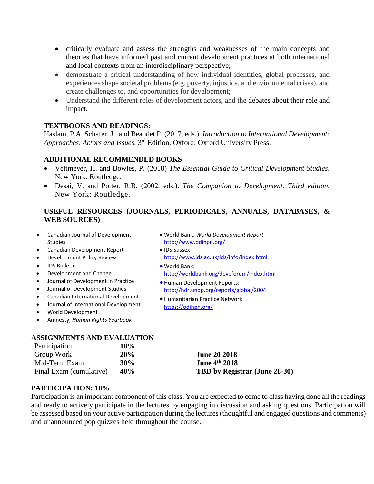- critically evaluate and assess the strengths and weaknesses of the main concepts and theories that have informed past and current development practices at both international and local contexts from an interdisciplinary perspective;
- demonstrate a critical understanding of how individual identities, global processes, and experiences shape societal problems (e.g. poverty, injustice, and environmental crises), and create challenges to, and opportunities for development;
- Understand the different roles of development actors, and the debates about their role and impact.

# **TEXTBOOKS AND READINGS:**

Haslam, P.A. Schafer, J., and Beaudet P. (2017, eds.). *Introduction to International Development: Approaches, Actors and Issues.* 3rd Edition. Oxford: Oxford University Press.

# **ADDITIONAL RECOMMENDED BOOKS**

- Veltmeyer, H. and Bowles, P. (2018) *The Essential Guide to Critical Development Studies*. New York: Routledge.
- Desai, V. and Potter, R.B. (2002, eds.). *The Companion to Development. Third edition.*  New York: Routledge.

# **USEFUL RESOURCES (JOURNALS, PERIODICALS, ANNUALS, DATABASES, & WEB SOURCES)**

- Canadian Journal of Development Studies
- Canadian Development Report
- Development Policy Review
- IDS Bulletin
- Development and Change
- Journal of Development in Practice
- Journal of Development Studies
- Canadian International Development
- Journal of International Development
- World Development
- Amnesty, *Human Rights Yearbook*

# • World Bank, *World Development Report*  <http://www.odihpn.org/>

- IDS Sussex: <http://www.ids.ac.uk/ids/info/index.html>
- World Bank: <http://worldbank.org/deveforum/index.html>
- Human Development Reports: <http://hdr.undp.org/reports/global/2004>
- Humanitarian Practice Network: <https://odihpn.org/>

# **ASSIGNMENTS AND EVALUATION**

| Participation           | 10% |
|-------------------------|-----|
| Group Work              | 20% |
| Mid-Term Exam           | 30% |
| Final Exam (cumulative) | 40% |

**June 20 2018 June 4th 2018 TBD by Registrar (June 28-30)** 

# **PARTICIPATION: 10%**

Participation is an important component of this class. You are expected to come to class having done all the readings and ready to actively participate in the lectures by engaging in discussion and asking questions. Participation will be assessed based on your active participation during the lectures (thoughtful and engaged questions and comments) and unannounced pop quizzes held throughout the course.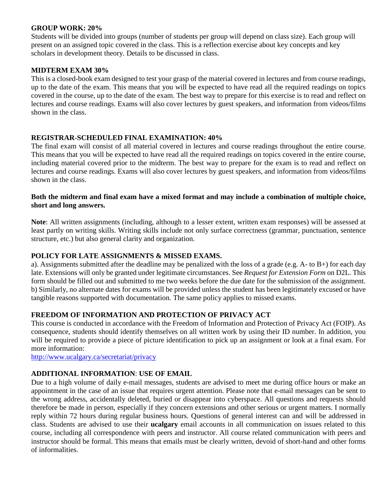#### **GROUP WORK: 20%**

Students will be divided into groups (number of students per group will depend on class size). Each group will present on an assigned topic covered in the class. This is a reflection exercise about key concepts and key scholars in development theory. Details to be discussed in class.

#### **MIDTERM EXAM 30%**

This is a closed-book exam designed to test your grasp of the material covered in lectures and from course readings, up to the date of the exam. This means that you will be expected to have read all the required readings on topics covered in the course, up to the date of the exam. The best way to prepare for this exercise is to read and reflect on lectures and course readings. Exams will also cover lectures by guest speakers, and information from videos/films shown in the class.

# **REGISTRAR-SCHEDULED FINAL EXAMINATION: 40%**

The final exam will consist of all material covered in lectures and course readings throughout the entire course. This means that you will be expected to have read all the required readings on topics covered in the entire course, including material covered prior to the midterm. The best way to prepare for the exam is to read and reflect on lectures and course readings. Exams will also cover lectures by guest speakers, and information from videos/films shown in the class.

#### **Both the midterm and final exam have a mixed format and may include a combination of multiple choice, short and long answers.**

**Note**: All written assignments (including, although to a lesser extent, written exam responses) will be assessed at least partly on writing skills. Writing skills include not only surface correctness (grammar, punctuation, sentence structure, etc.) but also general clarity and organization.

# **POLICY FOR LATE ASSIGNMENTS & MISSED EXAMS.**

a). Assignments submitted after the deadline may be penalized with the loss of a grade (e.g. A- to B+) for each day late. Extensions will only be granted under legitimate circumstances. See *Request for Extension Form* on D2L. This form should be filled out and submitted to me two weeks before the due date for the submission of the assignment. b) Similarly, no alternate dates for exams will be provided unless the student has been legitimately excused or have tangible reasons supported with documentation. The same policy applies to missed exams.

# **FREEDOM OF INFORMATION AND PROTECTION OF PRIVACY ACT**

This course is conducted in accordance with the Freedom of Information and Protection of Privacy Act (FOIP). As consequence, students should identify themselves on all written work by using their ID number. In addition, you will be required to provide a piece of picture identification to pick up an assignment or look at a final exam. For more information:

<http://www.ucalgary.ca/secretariat/privacy>

# **ADDITIONAL INFORMATION**: **USE OF EMAIL**

Due to a high volume of daily e-mail messages, students are advised to meet me during office hours or make an appointment in the case of an issue that requires urgent attention. Please note that e-mail messages can be sent to the wrong address, accidentally deleted, buried or disappear into cyberspace. All questions and requests should therefore be made in person, especially if they concern extensions and other serious or urgent matters. I normally reply within 72 hours during regular business hours. Questions of general interest can and will be addressed in class. Students are advised to use their **ucalgary** email accounts in all communication on issues related to this course, including all correspondence with peers and instructor. All course related communication with peers and instructor should be formal. This means that emails must be clearly written, devoid of short-hand and other forms of informalities.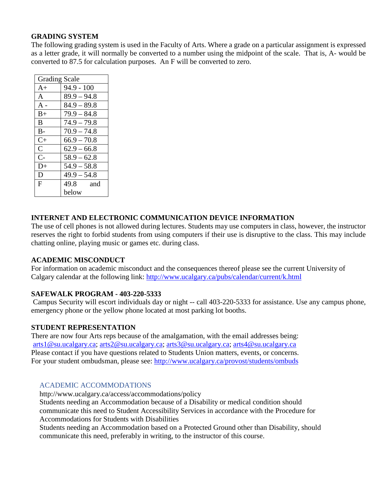#### **GRADING SYSTEM**

The following grading system is used in the Faculty of Arts. Where a grade on a particular assignment is expressed as a letter grade, it will normally be converted to a number using the midpoint of the scale. That is, A- would be converted to 87.5 for calculation purposes. An F will be converted to zero.

| <b>Grading Scale</b> |               |
|----------------------|---------------|
| $A+$                 | $94.9 - 100$  |
| $\mathsf{A}$         | $89.9 - 94.8$ |
| $A -$                | $84.9 - 89.8$ |
| $B+$                 | $79.9 - 84.8$ |
| B                    | $74.9 - 79.8$ |
| $B -$                | $70.9 - 74.8$ |
| $C+$                 | $66.9 - 70.8$ |
| $\mathsf{C}$         | $62.9 - 66.8$ |
| $C-$                 | $58.9 - 62.8$ |
| D+                   | $54.9 - 58.8$ |
| D                    | $49.9 - 54.8$ |
| $\mathbf{F}$         | 49.8 and      |
|                      | below         |

# **INTERNET AND ELECTRONIC COMMUNICATION DEVICE INFORMATION**

The use of cell phones is not allowed during lectures. Students may use computers in class, however, the instructor reserves the right to forbid students from using computers if their use is disruptive to the class. This may include chatting online, playing music or games etc. during class.

# **ACADEMIC MISCONDUCT**

For information on academic misconduct and the consequences thereof please see the current University of Calgary calendar at the following link:<http://www.ucalgary.ca/pubs/calendar/current/k.html>

# **SAFEWALK PROGRAM - 403-220-5333**

Campus Security will escort individuals day or night -- call 403-220-5333 for assistance. Use any campus phone, emergency phone or the yellow phone located at most parking lot booths.

# **STUDENT REPRESENTATION**

There are now four Arts reps because of the amalgamation, with the email addresses being: [arts1@su.ucalgary.ca;](mailto:arts1@su.ucalgary.ca) [arts2@su.ucalgary.ca;](mailto:arts2@su.ucalgary.ca) [arts3@su.ucalgary.ca;](mailto:arts3@su.ucalgary.ca) [arts4@su.ucalgary.ca](mailto:arts4@su.ucalgary.ca) Please contact if you have questions related to Students Union matters, events, or concerns. For your student ombudsman, please see:<http://www.ucalgary.ca/provost/students/ombuds>

#### ACADEMIC ACCOMMODATIONS

<http://www.ucalgary.ca/access/accommodations/policy> Students needing an Accommodation because of a Disability or medical condition should communicate this need to Student Accessibility Services in accordance with the Procedure for Accommodations for Students with Disabilities

Students needing an Accommodation based on a Protected Ground other than Disability, should communicate this need, preferably in writing, to the instructor of this course.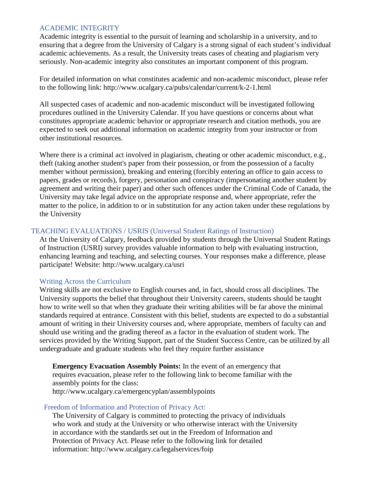#### ACADEMIC INTEGRITY

Academic integrity is essential to the pursuit of learning and scholarship in a university, and to ensuring that a degree from the University of Calgary is a strong signal of each student's individual academic achievements. As a result, the University treats cases of cheating and plagiarism very seriously. Non-academic integrity also constitutes an important component of this program.

For detailed information on what constitutes academic and non-academic misconduct, please refer to the following [link: http://www.ucalgary.ca/pubs/calendar/current/k-2-1.html](http://www.ucalgary.ca/pubs/calendar/current/k-2-1.html)

All suspected cases of academic and non-academic misconduct will be investigated following procedures outlined in the University Calendar. If you have questions or concerns about what constitutes appropriate academic behavior or appropriate research and citation methods, you are expected to seek out additional information on academic integrity from your instructor or from other institutional resources.

Where there is a criminal act involved in plagiarism, cheating or other academic misconduct, e.g., theft (taking another student's paper from their possession, or from the possession of a faculty member without permission), breaking and entering (forcibly entering an office to gain access to papers, grades or records), forgery, personation and conspiracy (impersonating another student by agreement and writing their paper) and other such offences under the Criminal Code of Canada, the University may take legal advice on the appropriate response and, where appropriate, refer the matter to the police, in addition to or in substitution for any action taken under these regulations by the University

#### TEACHING EVALUATIONS / USRIS (Universal Student Ratings of Instruction)

At the University of Calgary, feedback provided by students through the Universal Student Ratings of Instruction (USRI) survey provides valuable information to help with evaluating instruction, enhancing learning and teaching, and selecting courses. Your responses make a difference, please participate! Website: http://www.ucalgary.ca/usri

#### Writing Across the Curriculum

Writing skills are not exclusive to English courses and, in fact, should cross all disciplines. The University supports the belief that throughout their University careers, students should be taught how to write well so that when they graduate their writing abilities will be far above the minimal standards required at entrance. Consistent with this belief, students are expected to do a substantial amount of writing in their University courses and, where appropriate, members of faculty can and should use writing and the grading thereof as a factor in the evaluation of student work. The services provided by the Writing Support, part of the Student Success Centre, can be utilized by all undergraduate and graduate students who feel they require further assistance

**Emergency Evacuation Assembly Points:** In the event of an emergency that requires evacuation, please refer to the following link to become familiar with the assembly points for the class: <http://www.ucalgary.ca/emergencyplan/assemblypoints>

#### Freedom of Information and Protection of Privacy Act:

The University of Calgary is committed to protecting the privacy of individuals who work and study at the University or who otherwise interact with the University in accordance with the standards set out in the Freedom of Information and Protection of Privacy Act. Please refer to the following link for detailed inform[ation: http://www.ucalgary.ca/legalservices/foip](http://www.ucalgary.ca/legalservices/foip)